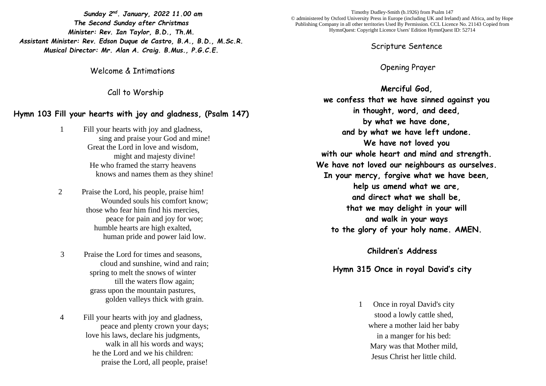*Sunday 2 nd. January, 2022 11.00 am The Second Sunday after Christmas Minister: Rev. Ian Taylor, B.D., Th.M. Assistant Minister: Rev. Edson Duque de Castro, B.A., B.D., M.Sc.R. Musical Director: Mr. Alan A. Craig. B.Mus., P.G.C.E.*

Welcome & Intimations

Call to Worship

## **Hymn 103 Fill your hearts with joy and gladness, (Psalm 147)**

- 1 Fill your hearts with joy and gladness, sing and praise your God and mine! Great the Lord in love and wisdom, might and majesty divine! He who framed the starry heavens knows and names them as they shine!
- 2 Praise the Lord, his people, praise him! Wounded souls his comfort know; those who fear him find his mercies, peace for pain and joy for woe; humble hearts are high exalted, human pride and power laid low.
- 3 Praise the Lord for times and seasons, cloud and sunshine, wind and rain; spring to melt the snows of winter till the waters flow again; grass upon the mountain pastures, golden valleys thick with grain.
- 4 Fill your hearts with joy and gladness, peace and plenty crown your days; love his laws, declare his judgments, walk in all his words and ways: he the Lord and we his children: praise the Lord, all people, praise!

Timothy Dudley-Smith (b.1926) from Psalm 147 © administered by Oxford University Press in Europe (including UK and Ireland) and Africa, and by Hope Publishing Company in all other territories Used By Permission. CCL Licence No. 21143 Copied from HymnQuest: Copyright Licence Users' Edition HymnQuest ID: 52714

Scripture Sentence

Opening Prayer

**Merciful God, we confess that we have sinned against you in thought, word, and deed, by what we have done, and by what we have left undone. We have not loved you with our whole heart and mind and strength. We have not loved our neighbours as ourselves. In your mercy, forgive what we have been, help us amend what we are, and direct what we shall be, that we may delight in your will and walk in your ways to the glory of your holy name. AMEN.**

# **Children's Address**

## **Hymn 315 Once in royal David's city**

1 Once in royal David's city stood a lowly cattle shed, where a mother laid her baby in a manger for his bed: Mary was that Mother mild, Jesus Christ her little child.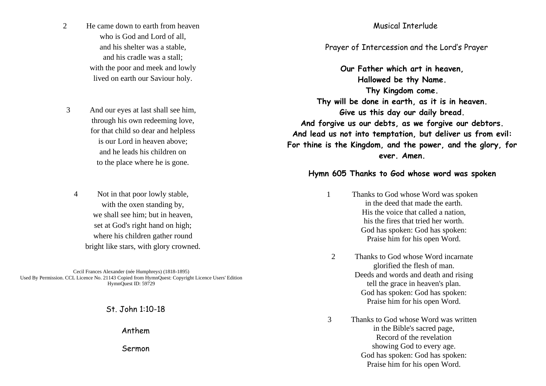- 2 He came down to earth from heaven who is God and Lord of all, and his shelter was a stable, and his cradle was a stall; with the poor and meek and lowly lived on earth our Saviour holy.
- 3 And our eyes at last shall see him, through his own redeeming love, for that child so dear and helpless is our Lord in heaven above; and he leads his children on to the place where he is gone.
	- 4 Not in that poor lowly stable, with the oxen standing by, we shall see him; but in heaven, set at God's right hand on high; where his children gather round bright like stars, with glory crowned.

Cecil Frances Alexander (née Humphreys) (1818-1895) Used By Permission. CCL Licence No. 21143 Copied from HymnQuest: Copyright Licence Users' Edition HymnQuest ID: 59729

St. John 1:10-18

Anthem

Sermon

## Musical Interlude

## Prayer of Intercession and the Lord's Prayer

**Our Father which art in heaven, Hallowed be thy Name. Thy Kingdom come. Thy will be done in earth, as it is in heaven. Give us this day our daily bread. And forgive us our debts, as we forgive our debtors. And lead us not into temptation, but deliver us from evil: For thine is the Kingdom, and the power, and the glory, for ever. Amen.**

#### **Hymn 605 Thanks to God whose word was spoken**

- 1 Thanks to God whose Word was spoken in the deed that made the earth. His the voice that called a nation, his the fires that tried her worth. God has spoken: God has spoken: Praise him for his open Word.
- 2 Thanks to God whose Word incarnate glorified the flesh of man. Deeds and words and death and rising tell the grace in heaven's plan. God has spoken: God has spoken: Praise him for his open Word.
- 3 Thanks to God whose Word was written in the Bible's sacred page, Record of the revelation showing God to every age. God has spoken: God has spoken: Praise him for his open Word.